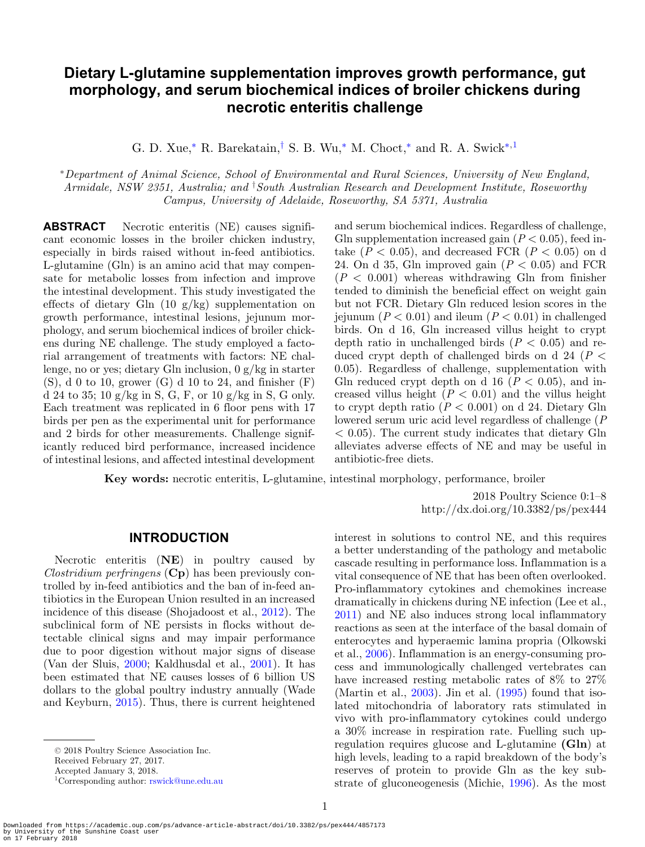# **Dietary L-glutamine supplementation improves growth performance, gut morphology, and serum biochemical indices of broiler chickens during necrotic enteritis challenge**

G. D. Xue,<sup>\*</sup> R. Barekatain,<sup>[†](#page-0-1)</sup> S. B. Wu,<sup>\*</sup> M. Choct,<sup>\*</sup> and R. A. Swick<sup>\*[,1](#page-0-2)</sup>

<span id="page-0-0"></span><sup>∗</sup>*Department of Animal Science, School of Environmental and Rural Sciences, University of New England, Armidale, NSW 2351, Australia; and* † *South Australian Research and Development Institute, Roseworthy Campus, University of Adelaide, Roseworthy, SA 5371, Australia*

**ABSTRACT** Necrotic enteritis (NE) causes significant economic losses in the broiler chicken industry, especially in birds raised without in-feed antibiotics. L-glutamine (Gln) is an amino acid that may compensate for metabolic losses from infection and improve the intestinal development. This study investigated the effects of dietary Gln  $(10 \text{ g/kg})$  supplementation on growth performance, intestinal lesions, jejunum morphology, and serum biochemical indices of broiler chickens during NE challenge. The study employed a factorial arrangement of treatments with factors: NE challenge, no or yes; dietary Gln inclusion,  $0 g/kg$  in starter  $(S)$ , d 0 to 10, grower  $(G)$  d 10 to 24, and finisher  $(F)$ d 24 to 35; 10 g/kg in S, G, F, or 10 g/kg in S, G only. Each treatment was replicated in 6 floor pens with 17 birds per pen as the experimental unit for performance and 2 birds for other measurements. Challenge significantly reduced bird performance, increased incidence of intestinal lesions, and affected intestinal development

<span id="page-0-1"></span>and serum biochemical indices. Regardless of challenge, Gln supplementation increased gain  $(P < 0.05)$ , feed intake  $(P < 0.05)$ , and decreased FCR  $(P < 0.05)$  on d 24. On d 35, Gln improved gain (*P* < 0.05) and FCR  $(P < 0.001)$  whereas withdrawing Gln from finisher tended to diminish the beneficial effect on weight gain but not FCR. Dietary Gln reduced lesion scores in the jejunum ( $P < 0.01$ ) and ileum ( $P < 0.01$ ) in challenged birds. On d 16, Gln increased villus height to crypt depth ratio in unchallenged birds  $(P < 0.05)$  and reduced crypt depth of challenged birds on d 24 (*P* < 0.05). Regardless of challenge, supplementation with Gln reduced crypt depth on d 16  $(P < 0.05)$ , and increased villus height  $(P < 0.01)$  and the villus height to crypt depth ratio  $(P < 0.001)$  on d 24. Dietary Gln lowered serum uric acid level regardless of challenge (*P*  $< 0.05$ ). The current study indicates that dietary Gln alleviates adverse effects of NE and may be useful in antibiotic-free diets.

**Key words:** necrotic enteritis, L-glutamine, intestinal morphology, performance, broiler

2018 Poultry Science 0:1–8 http://dx.doi.org/10.3382/ps/pex444

### **INTRODUCTION**

Necrotic enteritis (**NE**) in poultry caused by *Clostridium perfringens* (**Cp**) has been previously controlled by in-feed antibiotics and the ban of in-feed antibiotics in the European Union resulted in an increased incidence of this disease (Shojadoost et al., [2012\)](#page-7-0). The subclinical form of NE persists in flocks without detectable clinical signs and may impair performance due to poor digestion without major signs of disease (Van der Sluis, [2000;](#page-7-1) Kaldhusdal et al., [2001\)](#page-6-0). It has been estimated that NE causes losses of 6 billion US dollars to the global poultry industry annually (Wade and Keyburn, [2015\)](#page-7-2). Thus, there is current heightened

Received February 27, 2017.

interest in solutions to control NE, and this requires a better understanding of the pathology and metabolic cascade resulting in performance loss. Inflammation is a vital consequence of NE that has been often overlooked. Pro-inflammatory cytokines and chemokines increase dramatically in chickens during NE infection (Lee et al., [2011\)](#page-7-3) and NE also induces strong local inflammatory reactions as seen at the interface of the basal domain of enterocytes and hyperaemic lamina propria (Olkowski et al., [2006\)](#page-7-4). Inflammation is an energy-consuming process and immunologically challenged vertebrates can have increased resting metabolic rates of  $8\%$  to  $27\%$ (Martin et al.,  $2003$ ). Jin et al.  $(1995)$  found that isolated mitochondria of laboratory rats stimulated in vivo with pro-inflammatory cytokines could undergo a 30% increase in respiration rate. Fuelling such upregulation requires glucose and L-glutamine **(Gln**) at high levels, leading to a rapid breakdown of the body's reserves of protein to provide Gln as the key substrate of gluconeogenesis (Michie, [1996\)](#page-7-6). As the most

<sup>-</sup><sup>C</sup> 2018 Poultry Science Association Inc.

<span id="page-0-2"></span>Accepted January 3, 2018.

<sup>1</sup>Corresponding author: [rswick@une.edu.au](file:rswick@une.edu.au)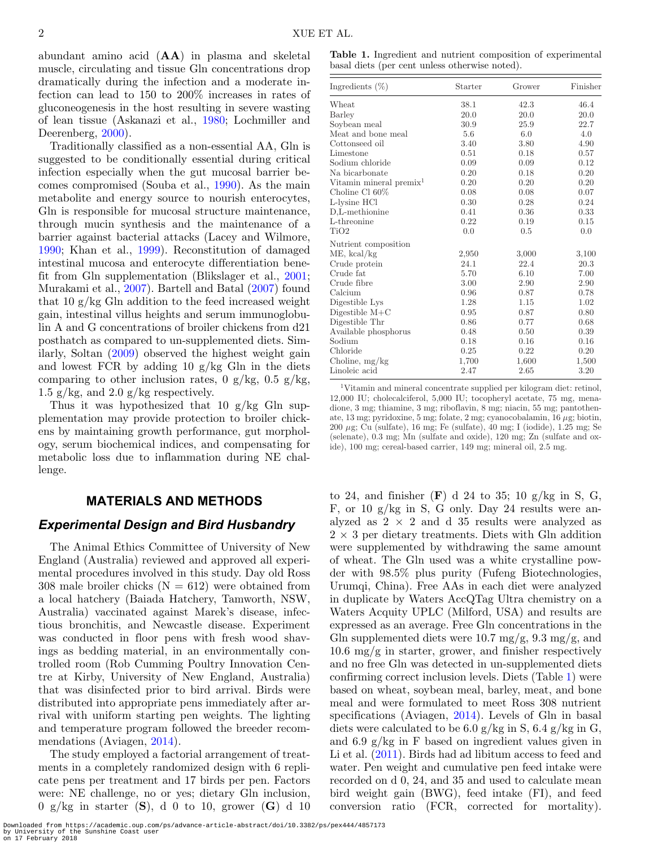abundant amino acid (**AA**) in plasma and skeletal muscle, circulating and tissue Gln concentrations drop dramatically during the infection and a moderate infection can lead to 150 to 200% increases in rates of gluconeogenesis in the host resulting in severe wasting of lean tissue (Askanazi et al., [1980;](#page-6-2) Lochmiller and Deerenberg, [2000\)](#page-7-7).

Traditionally classified as a non-essential AA, Gln is suggested to be conditionally essential during critical infection especially when the gut mucosal barrier becomes compromised (Souba et al., [1990\)](#page-7-8). As the main metabolite and energy source to nourish enterocytes, Gln is responsible for mucosal structure maintenance, through mucin synthesis and the maintenance of a barrier against bacterial attacks (Lacey and Wilmore, [1990;](#page-7-9) Khan et al., [1999\)](#page-6-3). Reconstitution of damaged intestinal mucosa and enterocyte differentiation benefit from Gln supplementation (Blikslager et al., [2001;](#page-6-4) Murakami et al., [2007\)](#page-7-10). Bartell and Batal [\(2007\)](#page-6-5) found that 10 g/kg Gln addition to the feed increased weight gain, intestinal villus heights and serum immunoglobulin A and G concentrations of broiler chickens from d21 posthatch as compared to un-supplemented diets. Similarly, Soltan [\(2009\)](#page-7-11) observed the highest weight gain and lowest FCR by adding 10  $g/kg$  Gln in the diets comparing to other inclusion rates, 0 g/kg, 0.5 g/kg, 1.5 g/kg, and 2.0 g/kg respectively.

Thus it was hypothesized that 10  $g/kg$  Gln supplementation may provide protection to broiler chickens by maintaining growth performance, gut morphology, serum biochemical indices, and compensating for metabolic loss due to inflammation during NE challenge.

#### **MATERIALS AND METHODS**

#### *Experimental Design and Bird Husbandry*

The Animal Ethics Committee of University of New England (Australia) reviewed and approved all experimental procedures involved in this study. Day old Ross 308 male broiler chicks  $(N = 612)$  were obtained from a local hatchery (Baiada Hatchery, Tamworth, NSW, Australia) vaccinated against Marek's disease, infectious bronchitis, and Newcastle disease. Experiment was conducted in floor pens with fresh wood shavings as bedding material, in an environmentally controlled room (Rob Cumming Poultry Innovation Centre at Kirby, University of New England, Australia) that was disinfected prior to bird arrival. Birds were distributed into appropriate pens immediately after arrival with uniform starting pen weights. The lighting and temperature program followed the breeder recommendations (Aviagen, [2014\)](#page-6-6).

The study employed a factorial arrangement of treatments in a completely randomized design with 6 replicate pens per treatment and 17 birds per pen. Factors were: NE challenge, no or yes; dietary Gln inclusion, 0 g/kg in starter (**S**), d 0 to 10, grower (**G**) d 10

<span id="page-1-0"></span>

| Ingredients $(\%)$                  | Starter | Grower | Finisher |
|-------------------------------------|---------|--------|----------|
| Wheat                               | 38.1    | 42.3   | 46.4     |
| Barley                              | 20.0    | 20.0   | 20.0     |
| Soybean meal                        | 30.9    | 25.9   | 22.7     |
| Meat and bone meal                  | 5.6     | 6.0    | 4.0      |
| Cottonseed oil                      | 3.40    | 3.80   | 4.90     |
| Limestone                           | 0.51    | 0.18   | 0.57     |
| Sodium chloride                     | 0.09    | 0.09   | 0.12     |
| Na bicarbonate                      | 0.20    | 0.18   | 0.20     |
| Vitamin mineral premix <sup>1</sup> | 0.20    | 0.20   | 0.20     |
| Choline Cl 60%                      | 0.08    | 0.08   | 0.07     |
| L-lysine HCl                        | 0.30    | 0.28   | 0.24     |
| D,L-methionine                      | 0.41    | 0.36   | 0.33     |
| L-threonine                         | 0.22    | 0.19   | 0.15     |
| TiO <sub>2</sub>                    | 0.0     | 0.5    | 0.0      |
| Nutrient composition                |         |        |          |
| $ME$ , kcal/kg                      | 2,950   | 3,000  | 3,100    |
| Crude protein                       | 24.1    | 22.4   | 20.3     |
| Crude fat                           | 5.70    | 6.10   | 7.00     |
| Crude fibre                         | 3.00    | 2.90   | 2.90     |
| Calcium                             | 0.96    | 0.87   | 0.78     |
| Digestible Lys                      | 1.28    | 1.15   | 1.02     |
| Digestible $M+C$                    | 0.95    | 0.87   | 0.80     |
| Digestible Thr                      | 0.86    | 0.77   | 0.68     |
| Available phosphorus                | 0.48    | 0.50   | 0.39     |
| Sodium                              | 0.18    | 0.16   | 0.16     |
| Chloride                            | 0.25    | 0.22   | 0.20     |
| Choline, $mg/kg$                    | 1,700   | 1,600  | 1,500    |
| Linoleic acid                       | 2.47    | 2.65   | 3.20     |

1Vitamin and mineral concentrate supplied per kilogram diet: retinol, 12,000 IU; cholecalciferol, 5,000 IU; tocopheryl acetate, 75 mg, menadione, 3 mg; thiamine, 3 mg; riboflavin, 8 mg; niacin, 55 mg; pantothenate, 13 mg; pyridoxine, 5 mg; folate, 2 mg; cyanocobalamin,  $16 \mu$ g; biotin, 200 μg; Cu (sulfate), 16 mg; Fe (sulfate), 40 mg; I (iodide), 1.25 mg; Se (selenate), 0.3 mg; Mn (sulfate and oxide), 120 mg; Zn (sulfate and oxide), 100 mg; cereal-based carrier, 149 mg; mineral oil, 2.5 mg.

to 24, and finisher  $(F)$  d 24 to 35; 10 g/kg in S, G, F, or 10 g/kg in S, G only. Day 24 results were analyzed as  $2 \times 2$  and d 35 results were analyzed as  $2 \times 3$  per dietary treatments. Diets with Gln addition were supplemented by withdrawing the same amount of wheat. The Gln used was a white crystalline powder with 98.5% plus purity (Fufeng Biotechnologies, Urumqi, China). Free AAs in each diet were analyzed in duplicate by Waters AccQTag Ultra chemistry on a Waters Acquity UPLC (Milford, USA) and results are expressed as an average. Free Gln concentrations in the Gln supplemented diets were  $10.7 \text{ mg/g}, 9.3 \text{ mg/g}, \text{and}$ 10.6 mg/g in starter, grower, and finisher respectively and no free Gln was detected in un-supplemented diets confirming correct inclusion levels. Diets (Table [1\)](#page-1-0) were based on wheat, soybean meal, barley, meat, and bone meal and were formulated to meet Ross 308 nutrient specifications (Aviagen, [2014\)](#page-6-6). Levels of Gln in basal diets were calculated to be  $6.0 \text{ g/kg}$  in S,  $6.4 \text{ g/kg}$  in G, and 6.9 g/kg in F based on ingredient values given in Li et al. [\(2011\)](#page-7-12). Birds had ad libitum access to feed and water. Pen weight and cumulative pen feed intake were recorded on d 0, 24, and 35 and used to calculate mean bird weight gain (BWG), feed intake (FI), and feed conversion ratio (FCR, corrected for mortality).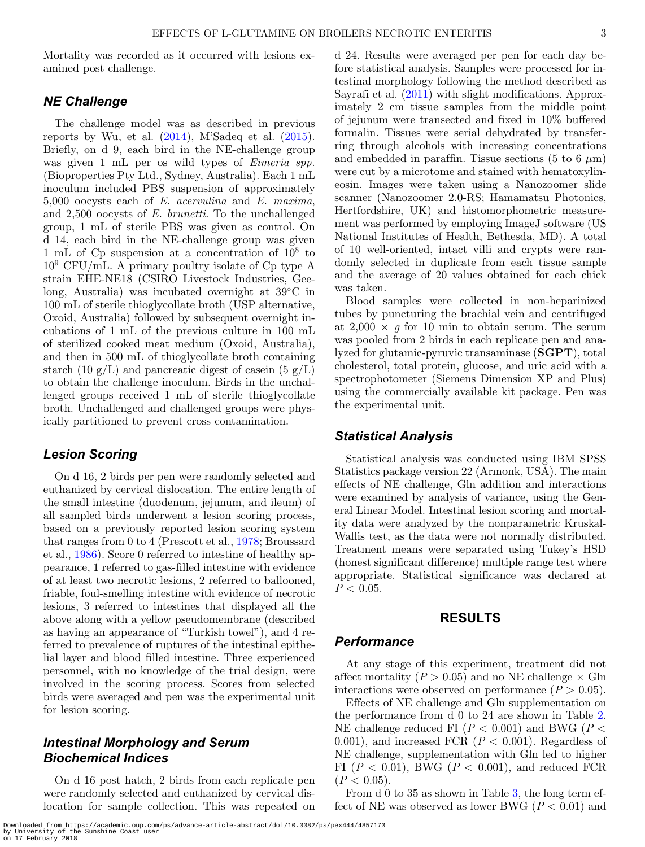Mortality was recorded as it occurred with lesions examined post challenge.

#### *NE Challenge*

The challenge model was as described in previous reports by Wu, et al.  $(2014)$ , M'Sadeq et al.  $(2015)$ . Briefly, on d 9, each bird in the NE-challenge group was given 1 mL per os wild types of *Eimeria spp.* (Bioproperties Pty Ltd., Sydney, Australia). Each 1 mL inoculum included PBS suspension of approximately 5,000 oocysts each of *E. acervulina* and *E. maxima*, and 2,500 oocysts of *E. brunetti*. To the unchallenged group, 1 mL of sterile PBS was given as control. On d 14, each bird in the NE-challenge group was given 1 mL of Cp suspension at a concentration of  $10^8$  to  $10^9$  CFU/mL. A primary poultry isolate of Cp type A strain EHE-NE18 (CSIRO Livestock Industries, Geelong, Australia) was incubated overnight at 39◦C in 100 mL of sterile thioglycollate broth (USP alternative, Oxoid, Australia) followed by subsequent overnight incubations of 1 mL of the previous culture in 100 mL of sterilized cooked meat medium (Oxoid, Australia), and then in 500 mL of thioglycollate broth containing starch (10 g/L) and pancreatic digest of casein (5 g/L) to obtain the challenge inoculum. Birds in the unchallenged groups received 1 mL of sterile thioglycollate broth. Unchallenged and challenged groups were physically partitioned to prevent cross contamination.

### *Lesion Scoring*

On d 16, 2 birds per pen were randomly selected and euthanized by cervical dislocation. The entire length of the small intestine (duodenum, jejunum, and ileum) of all sampled birds underwent a lesion scoring process, based on a previously reported lesion scoring system that ranges from 0 to 4 (Prescott et al., [1978;](#page-7-15) Broussard et al., [1986\)](#page-6-7). Score 0 referred to intestine of healthy appearance, 1 referred to gas-filled intestine with evidence of at least two necrotic lesions, 2 referred to ballooned, friable, foul-smelling intestine with evidence of necrotic lesions, 3 referred to intestines that displayed all the above along with a yellow pseudomembrane (described as having an appearance of "Turkish towel"), and 4 referred to prevalence of ruptures of the intestinal epithelial layer and blood filled intestine. Three experienced personnel, with no knowledge of the trial design, were involved in the scoring process. Scores from selected birds were averaged and pen was the experimental unit for lesion scoring.

## *Intestinal Morphology and Serum Biochemical Indices*

On d 16 post hatch, 2 birds from each replicate pen were randomly selected and euthanized by cervical dislocation for sample collection. This was repeated on d 24. Results were averaged per pen for each day before statistical analysis. Samples were processed for intestinal morphology following the method described as Sayrafi et al. [\(2011\)](#page-7-16) with slight modifications. Approximately 2 cm tissue samples from the middle point of jejunum were transected and fixed in 10% buffered formalin. Tissues were serial dehydrated by transferring through alcohols with increasing concentrations and embedded in paraffin. Tissue sections (5 to 6  $\mu$ m) were cut by a microtome and stained with hematoxylineosin. Images were taken using a Nanozoomer slide scanner (Nanozoomer 2.0-RS; Hamamatsu Photonics, Hertfordshire, UK) and histomorphometric measurement was performed by employing ImageJ software (US National Institutes of Health, Bethesda, MD). A total of 10 well-oriented, intact villi and crypts were randomly selected in duplicate from each tissue sample and the average of 20 values obtained for each chick was taken.

Blood samples were collected in non-heparinized tubes by puncturing the brachial vein and centrifuged at  $2,000 \times q$  for 10 min to obtain serum. The serum was pooled from 2 birds in each replicate pen and analyzed for glutamic-pyruvic transaminase (**SGPT**), total cholesterol, total protein, glucose, and uric acid with a spectrophotometer (Siemens Dimension XP and Plus) using the commercially available kit package. Pen was the experimental unit.

#### *Statistical Analysis*

Statistical analysis was conducted using IBM SPSS Statistics package version 22 (Armonk, USA). The main effects of NE challenge, Gln addition and interactions were examined by analysis of variance, using the General Linear Model. Intestinal lesion scoring and mortality data were analyzed by the nonparametric Kruskal-Wallis test, as the data were not normally distributed. Treatment means were separated using Tukey's HSD (honest significant difference) multiple range test where appropriate. Statistical significance was declared at  $P < 0.05$ .

## **RESULTS**

### *Performance*

At any stage of this experiment, treatment did not affect mortality  $(P > 0.05)$  and no NE challenge  $\times$  Gln interactions were observed on performance  $(P > 0.05)$ .

Effects of NE challenge and Gln supplementation on the performance from d 0 to 24 are shown in Table [2.](#page-3-0) NE challenge reduced FI (*P* < 0.001) and BWG (*P* < 0.001), and increased FCR  $(P < 0.001)$ . Regardless of NE challenge, supplementation with Gln led to higher FI  $(P < 0.01)$ , BWG  $(P < 0.001)$ , and reduced FCR  $(P < 0.05)$ .

From d 0 to 35 as shown in Table [3,](#page-3-1) the long term effect of NE was observed as lower BWG ( $P < 0.01$ ) and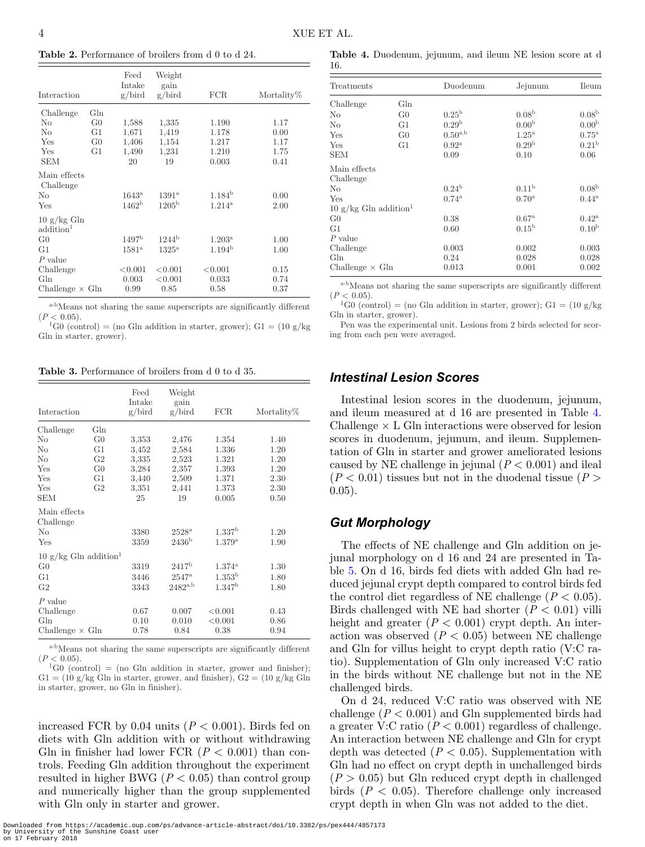<span id="page-3-0"></span>**Table 2.** Performance of broilers from d 0 to d 24.

| Interaction                                    |                | Feed<br>Intake<br>g/bird | Weight<br>gain<br>g/bird | <b>FCR</b>         | Mortality% |
|------------------------------------------------|----------------|--------------------------|--------------------------|--------------------|------------|
| Challenge                                      | Gln            |                          |                          |                    |            |
| No                                             | G <sub>0</sub> | 1,588                    | 1,335                    | 1.190              | 1.17       |
| No                                             | G1             | 1,671                    | 1,419                    | 1.178              | 0.00       |
| Yes                                            | G <sub>0</sub> | 1,406                    | 1,154                    | 1.217              | 1.17       |
| Yes                                            | G1             | 1,490                    | 1,231                    | 1.210              | 1.75       |
| <b>SEM</b>                                     |                | 20                       | 19                       | 0.003              | 0.41       |
| Main effects<br>Challenge                      |                |                          |                          |                    |            |
| N <sub>o</sub>                                 |                | $1643^{\rm a}$           | $1391^{\rm a}$           | $1.184^{b}$        | 0.00       |
| Yes                                            |                | 1462 <sup>b</sup>        | 1205 <sup>b</sup>        | $1.214^{\rm a}$    | 2.00       |
| $10 \text{ g/kg}$ Gln<br>addition <sup>1</sup> |                |                          |                          |                    |            |
| G <sub>0</sub>                                 |                | 1497 <sup>b</sup>        | 1244 <sup>b</sup>        | $1.203^{\rm a}$    | 1.00       |
| G1                                             |                | $1581^{\mathrm{a}}$      | $1325^{\mathrm{a}}$      | 1.194 <sup>b</sup> | 1.00       |
| $P$ value                                      |                |                          |                          |                    |            |
| Challenge                                      |                | < 0.001                  | < 0.001                  | < 0.001            | 0.15       |
| Gln                                            |                | 0.003                    | < 0.001                  | 0.033              | 0.74       |
| Challenge $\times$ Gln                         |                | 0.99                     | 0.85                     | 0.58               | 0.37       |

<sup>a-b</sup>Means not sharing the same superscripts are significantly different ( $P < 0.05$ ).

 ${}^{1}$ G0 (control) = (no Gln addition in starter, grower); G1 = (10 g/kg) Gln in starter, grower).

<span id="page-3-1"></span>**Table 3.** Performance of broilers from d 0 to d 35.

| Interaction                            |                | Feed<br>Intake<br>g/bird | Weight<br>gain<br>g/bird            | <b>FCR</b>                   | Mortality%   |
|----------------------------------------|----------------|--------------------------|-------------------------------------|------------------------------|--------------|
| Challenge                              | Gln            |                          |                                     |                              |              |
| No                                     | G <sub>0</sub> | 3,353                    | 2,476                               | 1.354                        | 1.40         |
| No                                     | G1             | 3.452                    | 2,584                               | 1.336                        | 1.20         |
| N <sub>0</sub>                         | G <sub>2</sub> | 3.335                    | 2,523                               | 1.321                        | 1.20         |
| Yes                                    | G <sub>0</sub> | 3.284                    | 2,357                               | 1.393                        | 1.20         |
| Yes                                    | G1             | 3.440                    | 2,509                               | 1.371                        | 2.30         |
| Yes                                    | G <sub>2</sub> | 3.351                    | 2,441                               | 1.373                        | 2.30         |
| <b>SEM</b>                             |                | 25                       | 19                                  | 0.005                        | 0.50         |
| Main effects<br>Challenge<br>No<br>Yes |                | 3380<br>3359             | $2528^{\rm a}$<br>2436 <sup>b</sup> | 1.337 <sup>b</sup><br>1.379a | 1.20<br>1.90 |
| 10 $g/kg$ Gln addition <sup>1</sup>    |                |                          |                                     |                              |              |
| G <sub>0</sub>                         |                | 3319                     | 2417 <sup>b</sup>                   | $1.374^{\rm a}$              | 1.30         |
| G <sub>1</sub>                         |                | 3446                     | $2547^{\rm a}$                      | $1.353^{\rm b}$              | 1.80         |
| G <sub>2</sub>                         |                | 3343                     | $2482^{a,b}$                        | 1.347 <sup>b</sup>           | 1.80         |
| $P$ value                              |                |                          |                                     |                              |              |
| Challenge                              |                | 0.67                     | 0.007                               | < 0.001                      | 0.43         |
| Gln                                    |                | 0.10                     | 0.010                               | < 0.001                      | 0.86         |
| Challenge $\times$ Gln                 |                | 0.78                     | 0.84                                | 0.38                         | 0.94         |

<sup>a-b</sup>Means not sharing the same superscripts are significantly different  $(P < 0.05)$ .

 ${}^{1}$ G0 (control) = (no Gln addition in starter, grower and finisher);  $G1 = (10 \text{ g/kg} \text{ Gln} \text{ in starter, grower, and finisher}), G2 = (10 \text{ g/kg} \text{ Gln} \text{)}$ in starter, grower, no Gln in finisher).

increased FCR by  $0.04$  units ( $P < 0.001$ ). Birds fed on diets with Gln addition with or without withdrawing Gln in finisher had lower FCR  $(P < 0.001)$  than controls. Feeding Gln addition throughout the experiment resulted in higher BWG ( $P < 0.05$ ) than control group and numerically higher than the group supplemented with Gln only in starter and grower.

<span id="page-3-2"></span>**Table 4.** Duodenum, jejunum, and ileum NE lesion score at d 16.

| Treatments                        |                 | Duodenum              | Jejunum             | Ileum             |
|-----------------------------------|-----------------|-----------------------|---------------------|-------------------|
| Challenge                         | G <sub>ln</sub> |                       |                     |                   |
| No                                | G <sub>0</sub>  | 0.25 <sup>b</sup>     | 0.08 <sup>b</sup>   | 0.08 <sup>b</sup> |
| No                                | G <sub>1</sub>  | 0.29 <sup>b</sup>     | 0.00 <sup>b</sup>   | 0.00 <sup>b</sup> |
| Yes                               | G <sub>0</sub>  | $0.50^{\mathrm{a,b}}$ | $1.25^{\mathrm{a}}$ | $0.75^{\rm a}$    |
| Yes                               | G1              | $0.92^{\rm a}$        | 0.29 <sup>b</sup>   | 0.21 <sup>b</sup> |
| <b>SEM</b>                        |                 | 0.09                  | 0.10                | 0.06              |
| Main effects<br>Challenge         |                 |                       |                     |                   |
| No                                |                 | $0.24^{b}$            | 0.11 <sup>b</sup>   | 0.08 <sup>b</sup> |
| Yes                               |                 | $0.74^{\rm a}$        | $0.70^{\rm a}$      | $0.44^{\rm a}$    |
| 10 g/kg Gln addition <sup>1</sup> |                 |                       |                     |                   |
| G <sub>0</sub>                    |                 | 0.38                  | 0.67 <sup>a</sup>   | $0.42^{\rm a}$    |
| G1                                |                 | 0.60                  | 0.15 <sup>b</sup>   | 0.10 <sup>b</sup> |
| $P$ value                         |                 |                       |                     |                   |
| Challenge                         |                 | 0.003                 | 0.002               | 0.003             |
| G <sub>ln</sub>                   |                 | 0.24                  | 0.028               | 0.028             |
| Challenge $\times$ Gln            |                 | 0.013                 | 0.001               | 0.002             |

<sup>a-b</sup>Means not sharing the same superscripts are significantly different ( $P < 0.05$ ).

<sup>1</sup>G0 (control) = (no Gln addition in starter, grower); G1 = (10 g/kg) Gln in starter, grower).

Pen was the experimental unit. Lesions from 2 birds selected for scoring from each pen were averaged.

#### *Intestinal Lesion Scores*

Intestinal lesion scores in the duodenum, jejunum, and ileum measured at d 16 are presented in Table [4.](#page-3-2) Challenge  $\times$  L Gln interactions were observed for lesion scores in duodenum, jejunum, and ileum. Supplementation of Gln in starter and grower ameliorated lesions caused by NE challenge in jejunal  $(P < 0.001)$  and ileal  $(P < 0.01)$  tissues but not in the duodenal tissue  $(P > 0.01)$ 0.05).

### *Gut Morphology*

The effects of NE challenge and Gln addition on jejunal morphology on d 16 and 24 are presented in Table [5.](#page-4-0) On d 16, birds fed diets with added Gln had reduced jejunal crypt depth compared to control birds fed the control diet regardless of NE challenge  $(P < 0.05)$ . Birds challenged with NE had shorter  $(P < 0.01)$  villi height and greater  $(P < 0.001)$  crypt depth. An interaction was observed  $(P < 0.05)$  between NE challenge and Gln for villus height to crypt depth ratio (V:C ratio). Supplementation of Gln only increased V:C ratio in the birds without NE challenge but not in the NE challenged birds.

On d 24, reduced V:C ratio was observed with NE challenge  $(P < 0.001)$  and Gln supplemented birds had a greater V:C ratio  $(P < 0.001)$  regardless of challenge. An interaction between NE challenge and Gln for crypt depth was detected  $(P < 0.05)$ . Supplementation with Gln had no effect on crypt depth in unchallenged birds  $(P > 0.05)$  but Gln reduced crypt depth in challenged birds (*P* < 0.05). Therefore challenge only increased crypt depth in when Gln was not added to the diet.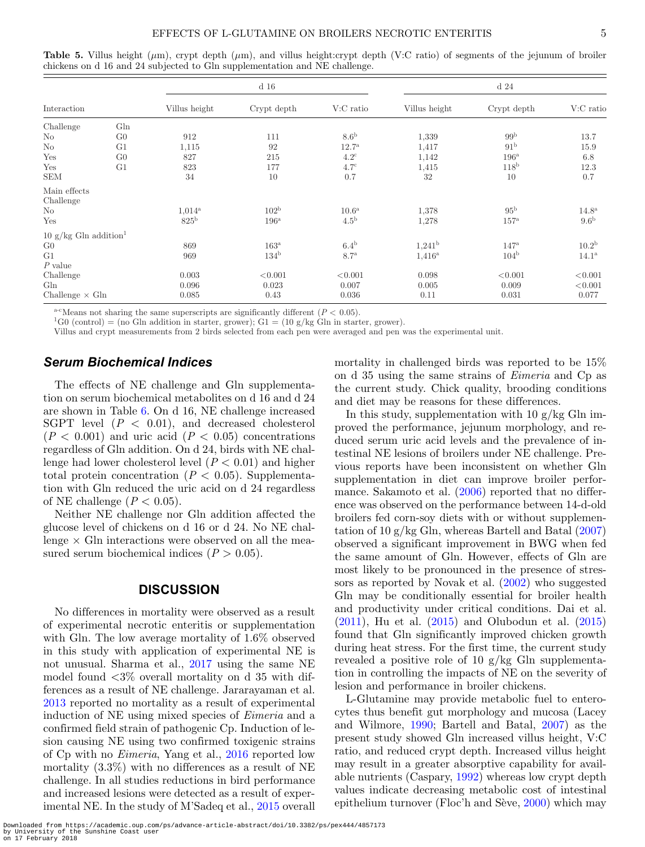|                                   |                 |                 | $d$ 16           |                   |                 | d <sub>24</sub>  |                     |
|-----------------------------------|-----------------|-----------------|------------------|-------------------|-----------------|------------------|---------------------|
| Interaction                       |                 | Villus height   | Crypt depth      | $V:C$ ratio       | Villus height   | Crypt depth      | V:C ratio           |
| Challenge                         | G <sub>ln</sub> |                 |                  |                   |                 |                  |                     |
| N <sub>o</sub>                    | G <sub>0</sub>  | 912             | 111              | 8.6 <sup>b</sup>  | 1,339           | 99 <sup>b</sup>  | 13.7                |
| No                                | G <sub>1</sub>  | 1,115           | 92               | $12.7^{\rm a}$    | 1,417           | 91 <sup>b</sup>  | 15.9                |
| Yes                               | G <sub>0</sub>  | 827             | 215              | $4.2^{\circ}$     | 1,142           | $196^{\rm a}$    | 6.8                 |
| Yes                               | G <sub>1</sub>  | 823             | 177              | $4.7^\mathrm{c}$  | 1,415           | 118 <sup>b</sup> | 12.3                |
| <b>SEM</b>                        |                 | 34              | 10               | 0.7               | 32              | 10               | 0.7                 |
| Main effects                      |                 |                 |                  |                   |                 |                  |                     |
| Challenge                         |                 |                 |                  |                   |                 |                  |                     |
| No                                |                 | $1,014^{\rm a}$ | 102 <sup>b</sup> | 10.6 <sup>a</sup> | 1,378           | 95 <sup>b</sup>  | 14.8 <sup>a</sup>   |
| Yes                               |                 | $825^{\rm b}$   | $196^{\rm a}$    | 4.5 <sup>b</sup>  | 1,278           | $157^{\rm a}$    | 9.6 <sup>b</sup>    |
| 10 g/kg Gln addition <sup>1</sup> |                 |                 |                  |                   |                 |                  |                     |
| G <sub>0</sub>                    |                 | 869             | $163^{\rm a}$    | $6.4^{\rm b}$     | $1,241^{\rm b}$ | $147^{\rm a}$    | 10.2 <sup>b</sup>   |
| G <sub>1</sub>                    |                 | 969             | 134 <sup>b</sup> | 8.7 <sup>a</sup>  | $1,416^{\rm a}$ | 104 <sup>b</sup> | $14.1^{\mathrm{a}}$ |
| $P$ value                         |                 |                 |                  |                   |                 |                  |                     |
| Challenge                         |                 | 0.003           | < 0.001          | < 0.001           | 0.098           | < 0.001          | < 0.001             |
| G <sub>ln</sub>                   |                 | 0.096           | 0.023            | 0.007             | 0.005           | 0.009            | < 0.001             |
| Challenge $\times$ Gln            |                 | 0.085           | 0.43             | 0.036             | 0.11            | 0.031            | 0.077               |

<span id="page-4-0"></span>**Table 5.** Villus height (μm), crypt depth (μm), and villus height:crypt depth (V:C ratio) of segments of the jejunum of broiler chickens on d 16 and 24 subjected to Gln supplementation and NE challenge.

<sup>a-c</sup>Means not sharing the same superscripts are significantly different (*P* < 0.05).<br><sup>1</sup>G0 (control) = (no Gln addition in starter, grower); G1 = (10 g/kg Gln in starter, grower).

Villus and crypt measurements from 2 birds selected from each pen were averaged and pen was the experimental unit.

## *Serum Biochemical Indices*

The effects of NE challenge and Gln supplementation on serum biochemical metabolites on d 16 and d 24 are shown in Table [6.](#page-5-0) On d 16, NE challenge increased SGPT level  $(P < 0.01)$ , and decreased cholesterol  $(P < 0.001)$  and uric acid  $(P < 0.05)$  concentrations regardless of Gln addition. On d 24, birds with NE challenge had lower cholesterol level (*P* < 0.01) and higher total protein concentration  $(P < 0.05)$ . Supplementation with Gln reduced the uric acid on d 24 regardless of NE challenge  $(P < 0.05)$ .

Neither NE challenge nor Gln addition affected the glucose level of chickens on d 16 or d 24. No NE challenge  $\times$  Gln interactions were observed on all the measured serum biochemical indices  $(P > 0.05)$ .

#### **DISCUSSION**

No differences in mortality were observed as a result of experimental necrotic enteritis or supplementation with Gln. The low average mortality of 1.6% observed in this study with application of experimental NE is not unusual. Sharma et al., [2017](#page-7-17) using the same NE model found  $\langle 3\%$  overall mortality on d 35 with differences as a result of NE challenge. Jararayaman et al. [2013](#page-7-18) reported no mortality as a result of experimental induction of NE using mixed species of *Eimeria* and a confirmed field strain of pathogenic Cp. Induction of lesion causing NE using two confirmed toxigenic strains of Cp with no *Eimeria*, Yang et al., [2016](#page-7-19) reported low mortality (3.3%) with no differences as a result of NE challenge. In all studies reductions in bird performance and increased lesions were detected as a result of experimental NE. In the study of M'Sadeq et al., [2015](#page-7-14) overall mortality in challenged birds was reported to be 15% on d 35 using the same strains of *Eimeria* and Cp as the current study. Chick quality, brooding conditions and diet may be reasons for these differences.

In this study, supplementation with 10  $g/kg$  Gln improved the performance, jejunum morphology, and reduced serum uric acid levels and the prevalence of intestinal NE lesions of broilers under NE challenge. Previous reports have been inconsistent on whether Gln supplementation in diet can improve broiler performance. Sakamoto et al.  $(2006)$  reported that no difference was observed on the performance between 14-d-old broilers fed corn-soy diets with or without supplementation of 10  $g/kg$  Gln, whereas Bartell and Batal  $(2007)$ observed a significant improvement in BWG when fed the same amount of Gln. However, effects of Gln are most likely to be pronounced in the presence of stressors as reported by Novak et al. [\(2002\)](#page-7-21) who suggested Gln may be conditionally essential for broiler health and productivity under critical conditions. Dai et al.  $(2011)$ , Hu et al.  $(2015)$  and Olubodun et al.  $(2015)$ found that Gln significantly improved chicken growth during heat stress. For the first time, the current study revealed a positive role of 10  $g/kg$  Gln supplementation in controlling the impacts of NE on the severity of lesion and performance in broiler chickens.

L-Glutamine may provide metabolic fuel to enterocytes thus benefit gut morphology and mucosa (Lacey and Wilmore, [1990;](#page-7-9) Bartell and Batal, [2007\)](#page-6-5) as the present study showed Gln increased villus height, V:C ratio, and reduced crypt depth. Increased villus height may result in a greater absorptive capability for available nutrients (Caspary, [1992\)](#page-6-10) whereas low crypt depth values indicate decreasing metabolic cost of intestinal epithelium turnover (Floc'h and Sève,  $2000$ ) which may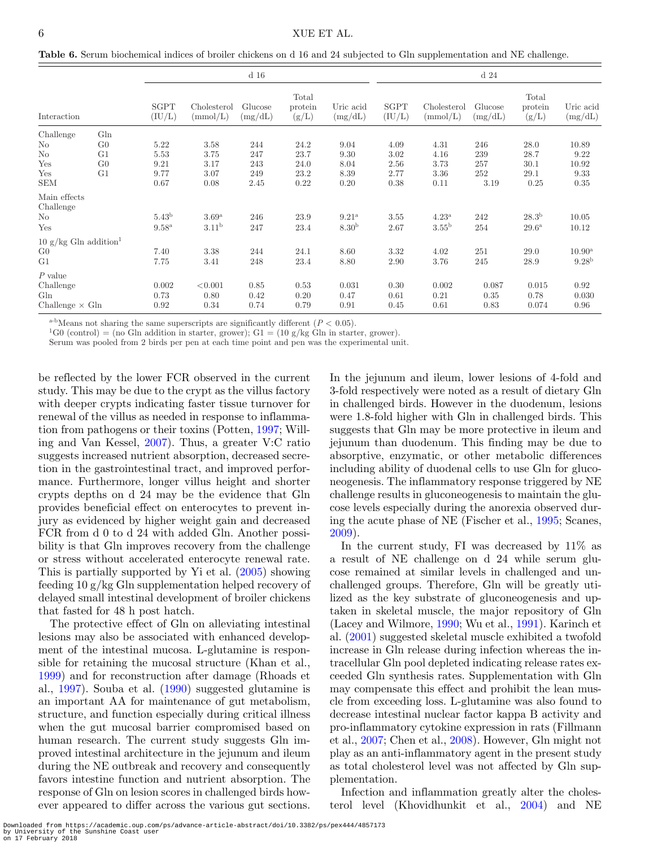<span id="page-5-0"></span>**Table 6.** Serum biochemical indices of broiler chickens on d 16 and 24 subjected to Gln supplementation and NE challenge.

|                                             |                | d <sub>16</sub>   |                         |                                                   |                           | d <sub>24</sub>                                     |                |                         |                    |                           |                      |
|---------------------------------------------|----------------|-------------------|-------------------------|---------------------------------------------------|---------------------------|-----------------------------------------------------|----------------|-------------------------|--------------------|---------------------------|----------------------|
| Interaction                                 |                | SGPT<br>(IU/L)    | Cholesterol<br>(mmol/L) | Glucose<br>$\left(\mathrm{mg}/\mathrm{dL}\right)$ | Total<br>protein<br>(g/L) | Uric acid<br>$\left(\mathrm{mg}/\mathrm{dL}\right)$ | SGPT<br>(IU/L) | Cholesterol<br>(mmol/L) | Glucose<br>(mg/dL) | Total<br>protein<br>(g/L) | Uric acid<br>(mg/dL) |
| Challenge                                   | Gln            |                   |                         |                                                   |                           |                                                     |                |                         |                    |                           |                      |
| No                                          | G <sub>0</sub> | 5.22              | 3.58                    | 244                                               | 24.2                      | 9.04                                                | 4.09           | 4.31                    | 246                | 28.0                      | 10.89                |
| $\rm No$                                    | G <sub>1</sub> | 5.53              | 3.75                    | 247                                               | 23.7                      | 9.30                                                | 3.02           | 4.16                    | 239                | 28.7                      | 9.22                 |
| Yes                                         | G <sub>0</sub> | 9.21              | 3.17                    | 243                                               | 24.0                      | 8.04                                                | 2.56           | 3.73                    | 257                | 30.1                      | 10.92                |
| Yes                                         | G <sub>1</sub> | 9.77              | 3.07                    | 249                                               | 23.2                      | 8.39                                                | 2.77           | 3.36                    | 252                | 29.1                      | 9.33                 |
| <b>SEM</b>                                  |                | 0.67              | 0.08                    | 2.45                                              | 0.22                      | 0.20                                                | 0.38           | 0.11                    | 3.19               | 0.25                      | 0.35                 |
| Main effects                                |                |                   |                         |                                                   |                           |                                                     |                |                         |                    |                           |                      |
| Challenge                                   |                |                   |                         |                                                   |                           |                                                     |                |                         |                    |                           |                      |
| $\rm No$                                    |                | 5.43 <sup>b</sup> | 3.69 <sup>a</sup>       | 246                                               | 23.9                      | $9.21^{\rm a}$                                      | 3.55           | $4.23^{\mathrm{a}}$     | 242                | 28.3 <sup>b</sup>         | 10.05                |
| Yes                                         |                | $9.58^{a}$        | 3.11 <sup>b</sup>       | 247                                               | 23.4                      | 8.30 <sup>b</sup>                                   | 2.67           | 3.55 <sup>b</sup>       | 254                | $29.6^{\rm a}$            | 10.12                |
| $10 \text{ g/kg}$ Gln addition <sup>1</sup> |                |                   |                         |                                                   |                           |                                                     |                |                         |                    |                           |                      |
| G <sub>0</sub>                              |                | 7.40              | 3.38                    | 244                                               | 24.1                      | 8.60                                                | 3.32           | 4.02                    | 251                | 29.0                      | $10.90^{\rm a}$      |
| G <sub>1</sub>                              |                | 7.75              | 3.41                    | 248                                               | 23.4                      | 8.80                                                | 2.90           | 3.76                    | 245                | 28.9                      | 9.28 <sup>b</sup>    |
| $P$ value                                   |                |                   |                         |                                                   |                           |                                                     |                |                         |                    |                           |                      |
| Challenge                                   |                | 0.002             | < 0.001                 | 0.85                                              | 0.53                      | 0.031                                               | 0.30           | 0.002                   | 0.087              | 0.015                     | 0.92                 |
| G <sub>ln</sub>                             |                | 0.73              | 0.80                    | 0.42                                              | 0.20                      | 0.47                                                | 0.61           | 0.21                    | 0.35               | 0.78                      | 0.030                |
| Challenge $\times$ Gln                      |                | 0.92              | 0.34                    | 0.74                                              | 0.79                      | 0.91                                                | 0.45           | 0.61                    | 0.83               | 0.074                     | 0.96                 |

<sup>a-b</sup>Means not sharing the same superscripts are significantly different  $(P < 0.05)$ .<br><sup>1</sup>G0 (control) = (no Gln addition in starter, grower); G1 = (10 g/kg Gln in starter, grower).

Serum was pooled from 2 birds per pen at each time point and pen was the experimental unit.

be reflected by the lower FCR observed in the current study. This may be due to the crypt as the villus factory with deeper crypts indicating faster tissue turnover for renewal of the villus as needed in response to inflammation from pathogens or their toxins (Potten, [1997;](#page-7-23) Willing and Van Kessel, [2007\)](#page-7-24). Thus, a greater V:C ratio suggests increased nutrient absorption, decreased secretion in the gastrointestinal tract, and improved performance. Furthermore, longer villus height and shorter crypts depths on d 24 may be the evidence that Gln provides beneficial effect on enterocytes to prevent injury as evidenced by higher weight gain and decreased FCR from d 0 to d 24 with added Gln. Another possibility is that Gln improves recovery from the challenge or stress without accelerated enterocyte renewal rate. This is partially supported by Yi et al. [\(2005\)](#page-7-25) showing feeding 10 g/kg Gln supplementation helped recovery of delayed small intestinal development of broiler chickens that fasted for 48 h post hatch.

The protective effect of Gln on alleviating intestinal lesions may also be associated with enhanced development of the intestinal mucosa. L-glutamine is responsible for retaining the mucosal structure (Khan et al., [1999\)](#page-6-3) and for reconstruction after damage (Rhoads et al., [1997\)](#page-7-26). Souba et al. [\(1990\)](#page-7-8) suggested glutamine is an important AA for maintenance of gut metabolism, structure, and function especially during critical illness when the gut mucosal barrier compromised based on human research. The current study suggests Gln improved intestinal architecture in the jejunum and ileum during the NE outbreak and recovery and consequently favors intestine function and nutrient absorption. The response of Gln on lesion scores in challenged birds however appeared to differ across the various gut sections.

In the jejunum and ileum, lower lesions of 4-fold and 3-fold respectively were noted as a result of dietary Gln in challenged birds. However in the duodenum, lesions were 1.8-fold higher with Gln in challenged birds. This suggests that Gln may be more protective in ileum and jejunum than duodenum. This finding may be due to absorptive, enzymatic, or other metabolic differences including ability of duodenal cells to use Gln for gluconeogenesis. The inflammatory response triggered by NE challenge results in gluconeogenesis to maintain the glucose levels especially during the anorexia observed during the acute phase of NE (Fischer et al., [1995;](#page-6-12) Scanes, [2009\)](#page-7-27).

In the current study, FI was decreased by 11% as a result of NE challenge on d 24 while serum glucose remained at similar levels in challenged and unchallenged groups. Therefore, Gln will be greatly utilized as the key substrate of gluconeogenesis and uptaken in skeletal muscle, the major repository of Gln (Lacey and Wilmore, [1990;](#page-7-9) Wu et al., [1991\)](#page-7-28). Karinch et al. [\(2001\)](#page-6-13) suggested skeletal muscle exhibited a twofold increase in Gln release during infection whereas the intracellular Gln pool depleted indicating release rates exceeded Gln synthesis rates. Supplementation with Gln may compensate this effect and prohibit the lean muscle from exceeding loss. L-glutamine was also found to decrease intestinal nuclear factor kappa B activity and pro-inflammatory cytokine expression in rats (Fillmann et al., [2007;](#page-6-14) Chen et al., [2008\)](#page-6-15). However, Gln might not play as an anti-inflammatory agent in the present study as total cholesterol level was not affected by Gln supplementation.

Infection and inflammation greatly alter the cholesterol level (Khovidhunkit et al., [2004\)](#page-7-29) and NE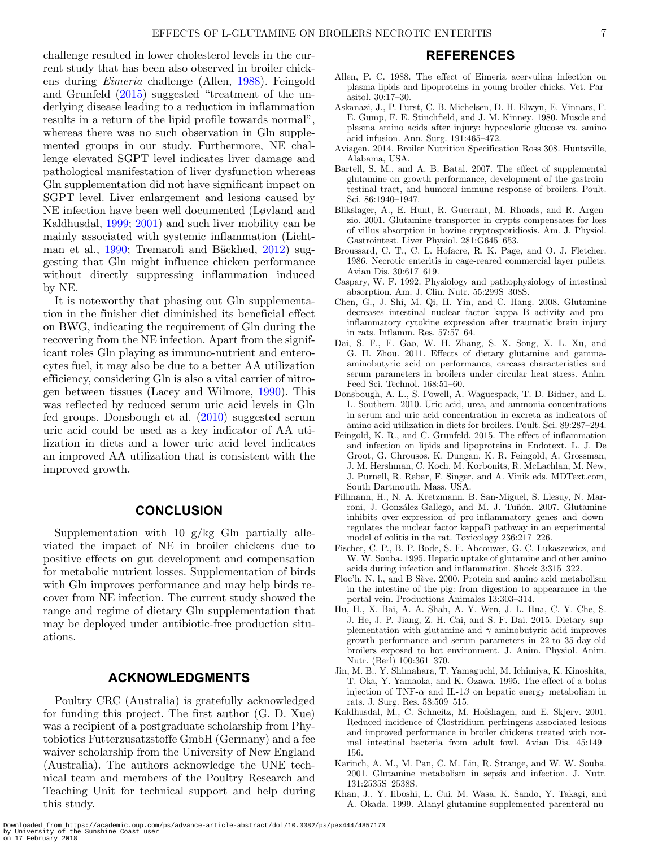challenge resulted in lower cholesterol levels in the current study that has been also observed in broiler chickens during *Eimeria* challenge (Allen, [1988\)](#page-6-16). Feingold and Grunfeld [\(2015\)](#page-6-17) suggested "treatment of the underlying disease leading to a reduction in inflammation results in a return of the lipid profile towards normal", whereas there was no such observation in Gln supplemented groups in our study. Furthermore, NE challenge elevated SGPT level indicates liver damage and pathological manifestation of liver dysfunction whereas Gln supplementation did not have significant impact on SGPT level. Liver enlargement and lesions caused by NE infection have been well documented (Løvland and Kaldhusdal, [1999;](#page-7-30) [2001\)](#page-7-31) and such liver mobility can be mainly associated with systemic inflammation (Licht-man et al., [1990;](#page-7-32) Tremaroli and Bäckhed, [2012\)](#page-7-33) suggesting that Gln might influence chicken performance without directly suppressing inflammation induced

It is noteworthy that phasing out Gln supplementation in the finisher diet diminished its beneficial effect on BWG, indicating the requirement of Gln during the recovering from the NE infection. Apart from the significant roles Gln playing as immuno-nutrient and enterocytes fuel, it may also be due to a better AA utilization efficiency, considering Gln is also a vital carrier of nitrogen between tissues (Lacey and Wilmore, [1990\)](#page-7-9). This was reflected by reduced serum uric acid levels in Gln fed groups. Donsbough et al. [\(2010\)](#page-6-18) suggested serum uric acid could be used as a key indicator of AA utilization in diets and a lower uric acid level indicates an improved AA utilization that is consistent with the

**CONCLUSION**

**ACKNOWLEDGMENTS**

Poultry CRC (Australia) is gratefully acknowledged for funding this project. The first author (G. D. Xue) was a recipient of a postgraduate scholarship from Phytobiotics Futterzusatzstoffe GmbH (Germany) and a fee

Supplementation with 10  $g/kg$  Gln partially alleviated the impact of NE in broiler chickens due to positive effects on gut development and compensation for metabolic nutrient losses. Supplementation of birds with Gln improves performance and may help birds recover from NE infection. The current study showed the range and regime of dietary Gln supplementation that may be deployed under antibiotic-free production situ-

by NE.

improved growth.

ations.

## **REFERENCES**

- <span id="page-6-16"></span>Allen, P. C. 1988. The effect of Eimeria acervulina infection on plasma lipids and lipoproteins in young broiler chicks. Vet. Parasitol. 30:17–30.
- <span id="page-6-2"></span>Askanazi, J., P. Furst, C. B. Michelsen, D. H. Elwyn, E. Vinnars, F. E. Gump, F. E. Stinchfield, and J. M. Kinney. 1980. Muscle and plasma amino acids after injury: hypocaloric glucose vs. amino acid infusion. Ann. Surg. 191:465–472.
- <span id="page-6-6"></span>Aviagen. 2014. Broiler Nutrition Specification Ross 308. Huntsville, Alabama, USA.
- <span id="page-6-5"></span>Bartell, S. M., and A. B. Batal. 2007. The effect of supplemental glutamine on growth performance, development of the gastrointestinal tract, and humoral immune response of broilers. Poult. Sci. 86:1940–1947.
- <span id="page-6-4"></span>Blikslager, A., E. Hunt, R. Guerrant, M. Rhoads, and R. Argenzio. 2001. Glutamine transporter in crypts compensates for loss of villus absorption in bovine cryptosporidiosis. Am. J. Physiol. Gastrointest. Liver Physiol. 281:G645–653.
- <span id="page-6-7"></span>Broussard, C. T., C. L. Hofacre, R. K. Page, and O. J. Fletcher. 1986. Necrotic enteritis in cage-reared commercial layer pullets. Avian Dis. 30:617–619.
- <span id="page-6-10"></span>Caspary, W. F. 1992. Physiology and pathophysiology of intestinal absorption. Am. J. Clin. Nutr. 55:299S–308S.
- <span id="page-6-15"></span>Chen, G., J. Shi, M. Qi, H. Yin, and C. Hang. 2008. Glutamine decreases intestinal nuclear factor kappa B activity and proinflammatory cytokine expression after traumatic brain injury in rats. Inflamm. Res. 57:57–64.
- <span id="page-6-8"></span>Dai, S. F., F. Gao, W. H. Zhang, S. X. Song, X. L. Xu, and G. H. Zhou. 2011. Effects of dietary glutamine and gammaaminobutyric acid on performance, carcass characteristics and serum parameters in broilers under circular heat stress. Anim. Feed Sci. Technol. 168:51–60.
- <span id="page-6-18"></span>Donsbough, A. L., S. Powell, A. Waguespack, T. D. Bidner, and L. L. Southern. 2010. Uric acid, urea, and ammonia concentrations in serum and uric acid concentration in excreta as indicators of amino acid utilization in diets for broilers. Poult. Sci. 89:287–294.
- <span id="page-6-17"></span>Feingold, K. R., and C. Grunfeld. 2015. The effect of inflammation and infection on lipids and lipoproteins in Endotext. L. J. De Groot, G. Chrousos, K. Dungan, K. R. Feingold, A. Grossman, J. M. Hershman, C. Koch, M. Korbonits, R. McLachlan, M. New, J. Purnell, R. Rebar, F. Singer, and A. Vinik eds. MDText.com, South Dartmouth, Mass, USA.
- <span id="page-6-14"></span>Fillmann, H., N. A. Kretzmann, B. San-Miguel, S. Llesuy, N. Marroni, J. González-Gallego, and M. J. Tuñón. 2007. Glutamine inhibits over-expression of pro-inflammatory genes and downregulates the nuclear factor kappaB pathway in an experimental model of colitis in the rat. Toxicology 236:217–226.
- <span id="page-6-12"></span>Fischer, C. P., B. P. Bode, S. F. Abcouwer, G. C. Lukaszewicz, and W. W. Souba. 1995. Hepatic uptake of glutamine and other amino acids during infection and inflammation. Shock 3:315–322.
- <span id="page-6-11"></span>Floc'h, N. l., and B Sève. 2000. Protein and amino acid metabolism in the intestine of the pig: from digestion to appearance in the portal vein. Productions Animales 13:303–314.
- <span id="page-6-9"></span>Hu, H., X. Bai, A. A. Shah, A. Y. Wen, J. L. Hua, C. Y. Che, S. J. He, J. P. Jiang, Z. H. Cai, and S. F. Dai. 2015. Dietary supplementation with glutamine and  $\gamma$ -aminobutyric acid improves growth performance and serum parameters in 22-to 35-day-old broilers exposed to hot environment. J. Anim. Physiol. Anim. Nutr. (Berl) 100:361–370.
- <span id="page-6-1"></span>Jin, M. B., Y. Shimahara, T. Yamaguchi, M. Ichimiya, K. Kinoshita, T. Oka, Y. Yamaoka, and K. Ozawa. 1995. The effect of a bolus injection of TNF- $\alpha$  and IL-1 $\beta$  on hepatic energy metabolism in rats. J. Surg. Res. 58:509–515.
- <span id="page-6-0"></span>Kaldhusdal, M., C. Schneitz, M. Hofshagen, and E. Skjerv. 2001. Reduced incidence of Clostridium perfringens-associated lesions and improved performance in broiler chickens treated with normal intestinal bacteria from adult fowl. Avian Dis. 45:149– 156.
- <span id="page-6-13"></span>Karinch, A. M., M. Pan, C. M. Lin, R. Strange, and W. W. Souba. 2001. Glutamine metabolism in sepsis and infection. J. Nutr. 131:2535S–2538S.
- <span id="page-6-3"></span>Khan, J., Y. Iiboshi, L. Cui, M. Wasa, K. Sando, Y. Takagi, and A. Okada. 1999. Alanyl-glutamine-supplemented parenteral nu-